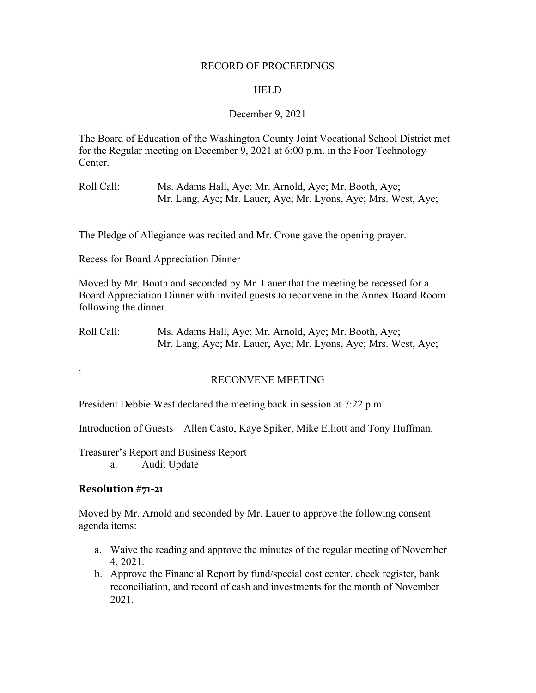#### RECORD OF PROCEEDINGS

#### **HELD**

#### December 9, 2021

The Board of Education of the Washington County Joint Vocational School District met for the Regular meeting on December 9, 2021 at 6:00 p.m. in the Foor Technology Center.

Roll Call: Ms. Adams Hall, Aye; Mr. Arnold, Aye; Mr. Booth, Aye; Mr. Lang, Aye; Mr. Lauer, Aye; Mr. Lyons, Aye; Mrs. West, Aye;

The Pledge of Allegiance was recited and Mr. Crone gave the opening prayer.

Recess for Board Appreciation Dinner

Moved by Mr. Booth and seconded by Mr. Lauer that the meeting be recessed for a Board Appreciation Dinner with invited guests to reconvene in the Annex Board Room following the dinner.

Roll Call: Ms. Adams Hall, Aye; Mr. Arnold, Aye; Mr. Booth, Aye; Mr. Lang, Aye; Mr. Lauer, Aye; Mr. Lyons, Aye; Mrs. West, Aye;

#### RECONVENE MEETING

President Debbie West declared the meeting back in session at 7:22 p.m.

Introduction of Guests – Allen Casto, Kaye Spiker, Mike Elliott and Tony Huffman.

Treasurer's Report and Business Report

a. Audit Update

#### **Resolution #71-21**

.

Moved by Mr. Arnold and seconded by Mr. Lauer to approve the following consent agenda items:

- a. Waive the reading and approve the minutes of the regular meeting of November 4, 2021.
- b. Approve the Financial Report by fund/special cost center, check register, bank reconciliation, and record of cash and investments for the month of November 2021.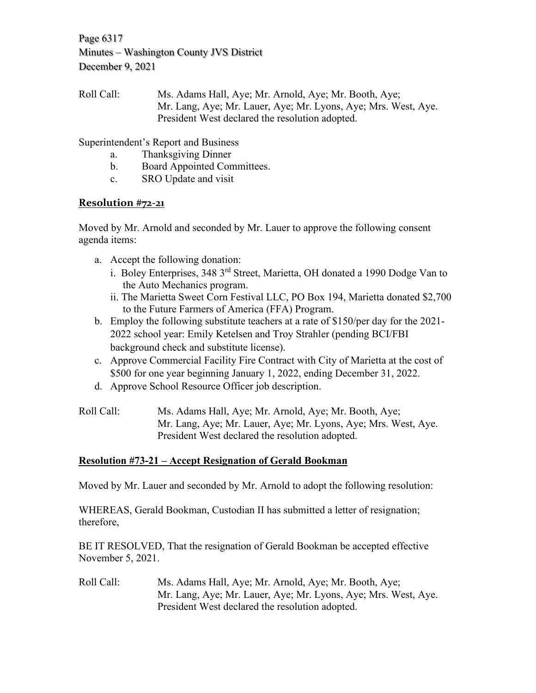Page 6317 Minutes – Washington County JVS District December 9, 2021

Roll Call: Ms. Adams Hall, Aye; Mr. Arnold, Aye; Mr. Booth, Aye; Mr. Lang, Aye; Mr. Lauer, Aye; Mr. Lyons, Aye; Mrs. West, Aye. President West declared the resolution adopted.

Superintendent's Report and Business

- a. Thanksgiving Dinner
- b. Board Appointed Committees.
- c. SRO Update and visit

# **Resolution #72-21**

Moved by Mr. Arnold and seconded by Mr. Lauer to approve the following consent agenda items:

- a. Accept the following donation:
	- i. Boley Enterprises, 348 3rd Street, Marietta, OH donated a 1990 Dodge Van to the Auto Mechanics program.
	- ii. The Marietta Sweet Corn Festival LLC, PO Box 194, Marietta donated \$2,700 to the Future Farmers of America (FFA) Program.
- b. Employ the following substitute teachers at a rate of \$150/per day for the 2021- 2022 school year: Emily Ketelsen and Troy Strahler (pending BCI/FBI background check and substitute license).
- c. Approve Commercial Facility Fire Contract with City of Marietta at the cost of \$500 for one year beginning January 1, 2022, ending December 31, 2022.
- d. Approve School Resource Officer job description.

Roll Call: Ms. Adams Hall, Aye; Mr. Arnold, Aye; Mr. Booth, Aye; Mr. Lang, Aye; Mr. Lauer, Aye; Mr. Lyons, Aye; Mrs. West, Aye. President West declared the resolution adopted.

# **Resolution #73-21 – Accept Resignation of Gerald Bookman**

Moved by Mr. Lauer and seconded by Mr. Arnold to adopt the following resolution:

WHEREAS, Gerald Bookman, Custodian II has submitted a letter of resignation; therefore,

BE IT RESOLVED, That the resignation of Gerald Bookman be accepted effective November 5, 2021.

Roll Call: Ms. Adams Hall, Aye; Mr. Arnold, Aye; Mr. Booth, Aye; Mr. Lang, Aye; Mr. Lauer, Aye; Mr. Lyons, Aye; Mrs. West, Aye. President West declared the resolution adopted.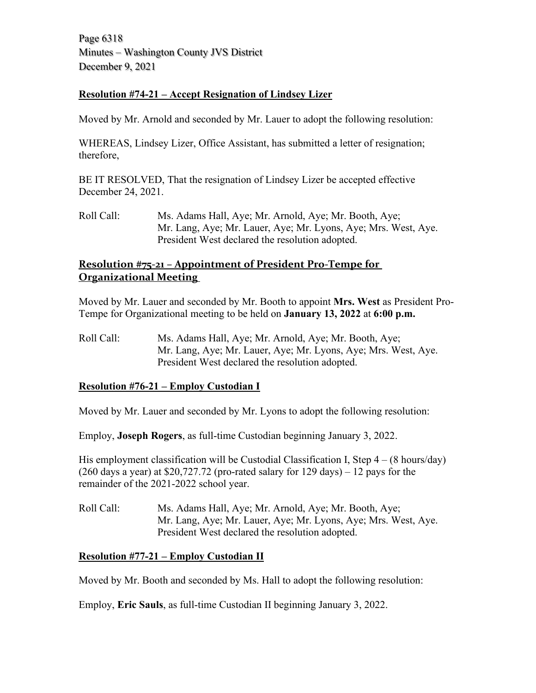Page 6318 Minutes – Washington County JVS District December 9, 2021

### **Resolution #74-21 – Accept Resignation of Lindsey Lizer**

Moved by Mr. Arnold and seconded by Mr. Lauer to adopt the following resolution:

WHEREAS, Lindsey Lizer, Office Assistant, has submitted a letter of resignation; therefore,

BE IT RESOLVED, That the resignation of Lindsey Lizer be accepted effective December 24, 2021.

Roll Call: Ms. Adams Hall, Aye; Mr. Arnold, Aye; Mr. Booth, Aye; Mr. Lang, Aye; Mr. Lauer, Aye; Mr. Lyons, Aye; Mrs. West, Aye. President West declared the resolution adopted.

## **Resolution #75-21 – Appointment of President Pro-Tempe for Organizational Meeting**

Moved by Mr. Lauer and seconded by Mr. Booth to appoint **Mrs. West** as President Pro-Tempe for Organizational meeting to be held on **January 13, 2022** at **6:00 p.m.**

Roll Call: Ms. Adams Hall, Aye; Mr. Arnold, Aye; Mr. Booth, Aye; Mr. Lang, Aye; Mr. Lauer, Aye; Mr. Lyons, Aye; Mrs. West, Aye. President West declared the resolution adopted.

## **Resolution #76-21 – Employ Custodian I**

Moved by Mr. Lauer and seconded by Mr. Lyons to adopt the following resolution:

Employ, **Joseph Rogers**, as full-time Custodian beginning January 3, 2022.

His employment classification will be Custodial Classification I, Step  $4 - (8 \text{ hours/day})$ (260 days a year) at  $$20,727.72$  (pro-rated salary for 129 days) – 12 pays for the remainder of the 2021-2022 school year.

Roll Call: Ms. Adams Hall, Aye; Mr. Arnold, Aye; Mr. Booth, Aye; Mr. Lang, Aye; Mr. Lauer, Aye; Mr. Lyons, Aye; Mrs. West, Aye. President West declared the resolution adopted.

## **Resolution #77-21 – Employ Custodian II**

Moved by Mr. Booth and seconded by Ms. Hall to adopt the following resolution:

Employ, **Eric Sauls**, as full-time Custodian II beginning January 3, 2022.